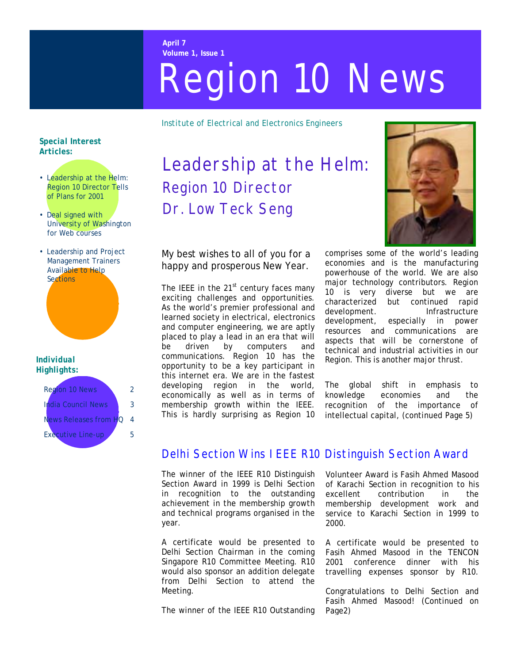#### **April 7 Volume 1, Issue 1**

# Region 10 News

*Institute of Electrical and Electronics Engineers* 

### *Special Interest Articles:*

- Leadership at the Helm: Region 10 Director Tells of Plans for 2001
- Deal signed with University of Washington for Web courses
- Leadership and Project Management Trainers Available to Help **Sections**

#### *Individual Highlights:*

| Region 10 N                  | 2 |
|------------------------------|---|
| auncili<br>عصره              |   |
| e <del>leases from H</del> O |   |
| Executive                    | ц |
|                              |   |

# Leadership at the Helm: Region 10 Director Dr. Low Teck Seng

My best wishes to all of you for a happy and prosperous New Year.

The IEEE in the  $21<sup>st</sup>$  century faces many exciting challenges and opportunities. As the world's premier professional and learned society in electrical, electronics and computer engineering, we are aptly placed to play a lead in an era that will be driven by computers and communications. Region 10 has the opportunity to be a key participant in this internet era. We are in the fastest developing region in the world, economically as well as in terms of membership growth within the IEEE. This is hardly surprising as Region 10



comprises some of the world's leading economies and is the manufacturing powerhouse of the world. We are also major technology contributors. Region 10 is very diverse but we are characterized but continued rapid development. Infrastructure development, especially in power resources and communications are aspects that will be cornerstone of technical and industrial activities in our Region. This is another major thrust.

The global shift in emphasis to knowledge economies and the recognition of the importance of intellectual capital, (continued Page 5)

# Delhi Section Wins IEEE R10 Distinguish Section Award

The winner of the IEEE R10 Distinguish Section Award in 1999 is Delhi Section in recognition to the outstanding achievement in the membership growth and technical programs organised in the year.

A certificate would be presented to Delhi Section Chairman in the coming Singapore R10 Committee Meeting. R10 would also sponsor an addition delegate from Delhi Section to attend the Meeting.

The winner of the IEEE R10 Outstanding

Volunteer Award is Fasih Ahmed Masood of Karachi Section in recognition to his excellent contribution in the membership development work and service to Karachi Section in 1999 to 2000.

A certificate would be presented to Fasih Ahmed Masood in the TENCON 2001 conference dinner with his travelling expenses sponsor by R10.

Congratulations to Delhi Section and Fasih Ahmed Masood! (Continued on Page2)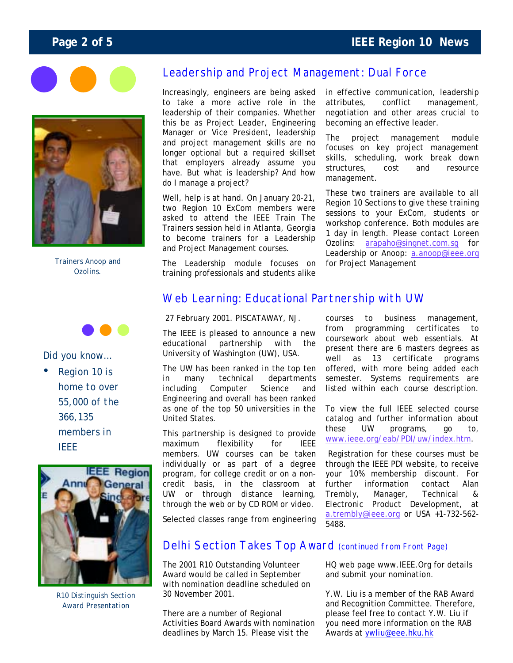# **Page 2 of 5 IEEE Region 10 News**





*Trainers Anoop and Ozolins.* 



## *Did you know…*

• *Region 10 is home to over 55,000 of the 366,135 members in IEEE* 



*R10 Distinguish Section Award Presentation* 

# Leadership and Project Management: Dual Force

Increasingly, engineers are being asked to take a more active role in the leadership of their companies. Whether this be as Project Leader, Engineering Manager or Vice President, leadership and project management skills are no longer optional but a required skillset that employers already assume you have. But what is leadership? And how do I manage a project?

Well, help is at hand. On January 20-21, two Region 10 ExCom members were asked to attend the IEEE Train The Trainers session held in Atlanta, Georgia to become trainers for a Leadership and Project Management courses.

The Leadership module focuses on training professionals and students alike in effective communication, leadership attributes, conflict management, negotiation and other areas crucial to becoming an effective leader.

The project management module focuses on key project management skills, scheduling, work break down structures, cost and resource management.

These two trainers are available to all Region 10 Sections to give these training sessions to your ExCom, students or workshop conference. Both modules are 1 day in length. Please contact Loreen Ozolins: [arapaho@singnet.com.sg](mailto:arapaho@singnet.com.sg) for Leadership or Anoop: [a.anoop@ieee.org](mailto:a.anoop@ieee.org) for Project Management

# Web Learning: Educational Partnership with UW

#### 27 February 2001. PISCATAWAY, NJ.

The IEEE is pleased to announce a new educational partnership with the University of Washington (UW), USA.

The UW has been ranked in the top ten in many technical departments including Computer Science and Engineering and overall has been ranked as one of the top 50 universities in the United States.

This partnership is designed to provide maximum flexibility for IEEE members. UW courses can be taken individually or as part of a degree program, for college credit or on a noncredit basis, in the classroom at UW or through distance learning, through the web or by CD ROM or video.

Selected classes range from engineering

courses to business management, from programming certificates to coursework about web essentials. At present there are 6 masters degrees as well as 13 certificate programs offered, with more being added each semester. Systems requirements are listed within each course description.

To view the full IEEE selected course catalog and further information about these UW programs, go to, [www.ieee.org/eab/PDI/uw/index.htm.](http://www.ieee.org/eab/PDI/uw/index.htm)

 Registration for these courses must be through the IEEE PDI website, to receive your 10% membership discount. For further information contact Alan Trembly, Manager, Technical & Electronic Product Development, at [a.trembly@ieee.org](mailto:a.trembly@ieee.org) or USA +1-732-562- 5488.

# Delhi Section Takes Top Award (continued from Front Page)

The 2001 R10 Outstanding Volunteer Award would be called in September with nomination deadline scheduled on 30 November 2001.

There are a number of Regional Activities Board Awards with nomination deadlines by March 15. Please visit the

HQ web page www.IEEE.Org for details and submit your nomination.

Y.W. Liu is a member of the RAB Award and Recognition Committee. Therefore, please feel free to contact Y.W. Liu if you need more information on the RAB Awards at ywliu@eee.hku.hk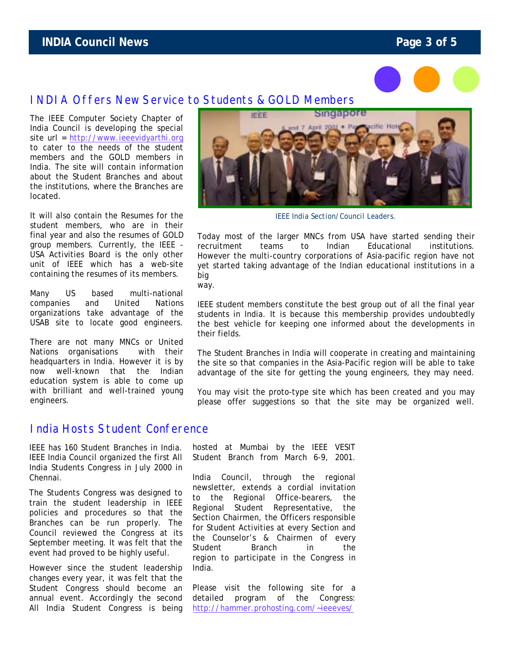# **INDIA Council News Page 3 of 5**



# INDIA Offers New Service to Students & GOLD Members

The IEEE Computer Society Chapter of India Council is developing the special site url = [http://www.ieeevidyarthi.org](http://www.ieeevidyarthi.org/) to cater to the needs of the student members and the GOLD members in India. The site will contain information about the Student Branches and about the institutions, where the Branches are located.

It will also contain the Resumes for the student members, who are in their final year and also the resumes of GOLD group members. Currently, the IEEE - USA Activities Board is the only other unit of IEEE which has a web-site containing the resumes of its members.

Many US based multi-national companies and United Nations organizations take advantage of the USAB site to locate good engineers.

There are not many MNCs or United Nations organisations with their headquarters in India. However it is by now well-known that the Indian education system is able to come up with brilliant and well-trained young engineers.

# India Hosts Student Conference

IEEE has 160 Student Branches in India. IEEE India Council organized the first All India Students Congress in July 2000 in Chennai.

The Students Congress was designed to train the student leadership in IEEE policies and procedures so that the Branches can be run properly. The Council reviewed the Congress at its September meeting. It was felt that the event had proved to be highly useful.

However since the student leadership changes every year, it was felt that the Student Congress should become an annual event. Accordingly the second All India Student Congress is being



*IEEE India Section/Council Leaders.* 

Today most of the larger MNCs from USA have started sending their recruitment teams to Indian Educational institutions. However the multi-country corporations of Asia-pacific region have not yet started taking advantage of the Indian educational institutions in a big

way.

IEEE student members constitute the best group out of all the final year students in India. It is because this membership provides undoubtedly the best vehicle for keeping one informed about the developments in their fields.

The Student Branches in India will cooperate in creating and maintaining the site so that companies in the Asia-Pacific region will be able to take advantage of the site for getting the young engineers, they may need.

You may visit the proto-type site which has been created and you may please offer suggestions so that the site may be organized well.

hosted at Mumbai by the IEEE VESIT Student Branch from March 6-9, 2001.

India Council, through the regional newsletter, extends a cordial invitation to the Regional Office-bearers, the Regional Student Representative, the Section Chairmen, the Officers responsible for Student Activities at every Section and the Counselor's & Chairmen of every Student Branch in the region to participate in the Congress in India.

Please visit the following site for a detailed program of the Congress: http://hammer.prohosting.com/~ieeeves/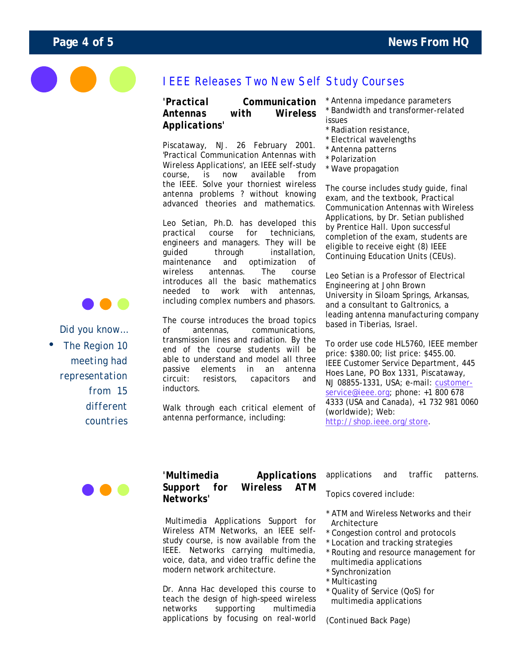

# IEEE Releases Two New Self Study Courses

## *'Practical Communication Antennas with Wireless Applications'*

Piscataway, NJ. 26 February 2001. 'Practical Communication Antennas with Wireless Applications', an IEEE self-study course, is now available from the IEEE. Solve your thorniest wireless antenna problems ? without knowing advanced theories and mathematics.

Leo Setian, Ph.D. has developed this practical course for technicians, engineers and managers. They will be guided through installation, maintenance and optimization of wireless antennas. The course introduces all the basic mathematics needed to work with antennas, including complex numbers and phasors.

The course introduces the broad topics of antennas, communications, transmission lines and radiation. By the end of the course students will be able to understand and model all three passive elements in an antenna circuit: resistors, capacitors and inductors.

Walk through each critical element of antenna performance, including:

\* Antenna impedance parameters Bandwidth and transformer-related issues

- \* Radiation resistance,
- \* Electrical wavelengths
- \* Antenna patterns
- \* Polarization
- \* Wave propagation

The course includes study guide, final exam, and the textbook, Practical Communication Antennas with Wireless Applications, by Dr. Setian published by Prentice Hall. Upon successful completion of the exam, students are eligible to receive eight (8) IEEE Continuing Education Units (CEUs).

Leo Setian is a Professor of Electrical Engineering at John Brown University in Siloam Springs, Arkansas, and a consultant to Galtronics, a leading antenna manufacturing company based in Tiberias, Israel.

To order use code HL5760, IEEE member price: \$380.00; list price: \$455.00. IEEE Customer Service Department, 445 Hoes Lane, PO Box 1331, Piscataway, NJ 08855-1331, USA; e-mail: customerservice@ieee.org; phone: +1 800 678 4333 (USA and Canada), +1 732 981 0060 (worldwide); Web: http://shop.ieee.org/store.

## *'Multimedia Applications Support for Wireless ATM Networks'*

 Multimedia Applications Support for Wireless ATM Networks, an IEEE selfstudy course, is now available from the IEEE. Networks carrying multimedia, voice, data, and video traffic define the modern network architecture.

Dr. Anna Hac developed this course to teach the design of high-speed wireless networks supporting multimedia applications by focusing on real-world applications and traffic patterns.

Topics covered include:

- \* ATM and Wireless Networks and their Architecture
- \* Congestion control and protocols
- \* Location and tracking strategies
- \* Routing and resource management for multimedia applications
- \* Synchronization
- \* Multicasting
- \* Quality of Service (QoS) for multimedia applications

*(Continued Back Page)* 



*Did you know…*  • *The Region 10 meeting had representation from 15 different countries*